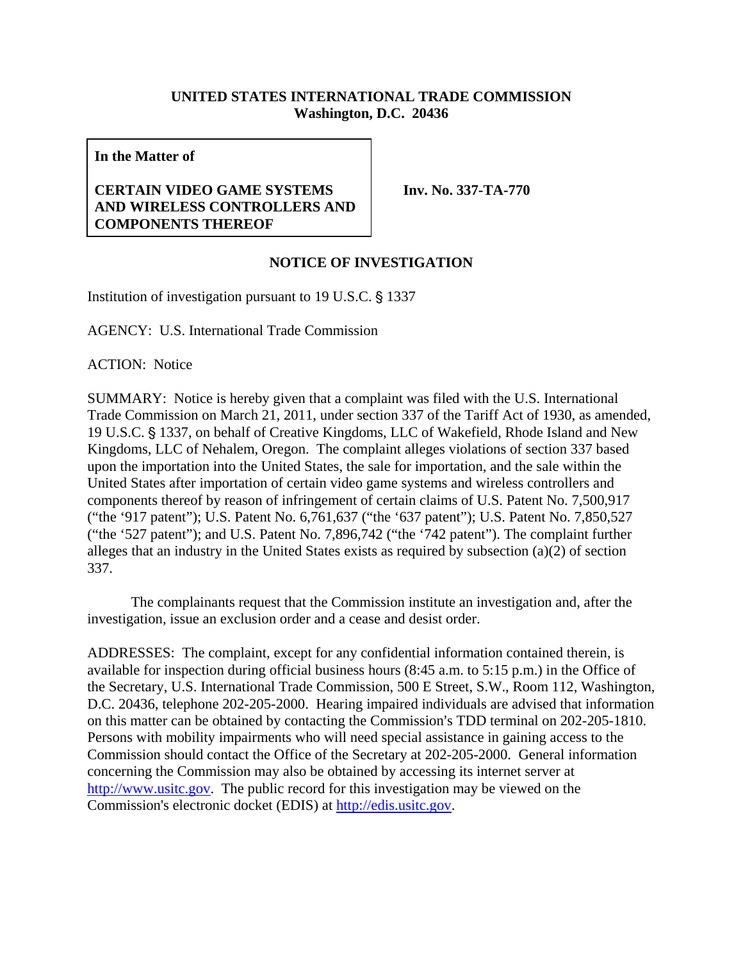## **UNITED STATES INTERNATIONAL TRADE COMMISSION Washington, D.C. 20436**

**In the Matter of** 

## **CERTAIN VIDEO GAME SYSTEMS AND WIRELESS CONTROLLERS AND COMPONENTS THEREOF**

**Inv. No. 337-TA-770** 

## **NOTICE OF INVESTIGATION**

Institution of investigation pursuant to  $19$  U.S.C.  $\S$  1337

AGENCY: U.S. International Trade Commission

ACTION: Notice

SUMMARY: Notice is hereby given that a complaint was filed with the U.S. International Trade Commission on March 21, 2011, under section 337 of the Tariff Act of 1930, as amended, 19 U.S.C. § 1337, on behalf of Creative Kingdoms, LLC of Wakefield, Rhode Island and New Kingdoms, LLC of Nehalem, Oregon. The complaint alleges violations of section 337 based upon the importation into the United States, the sale for importation, and the sale within the United States after importation of certain video game systems and wireless controllers and components thereof by reason of infringement of certain claims of U.S. Patent No. 7,500,917 ("the '917 patent"); U.S. Patent No. 6,761,637 ("the '637 patent"); U.S. Patent No. 7,850,527 ("the '527 patent"); and U.S. Patent No. 7,896,742 ("the '742 patent"). The complaint further alleges that an industry in the United States exists as required by subsection (a)(2) of section 337.

The complainants request that the Commission institute an investigation and, after the investigation, issue an exclusion order and a cease and desist order.

ADDRESSES: The complaint, except for any confidential information contained therein, is available for inspection during official business hours (8:45 a.m. to 5:15 p.m.) in the Office of the Secretary, U.S. International Trade Commission, 500 E Street, S.W., Room 112, Washington, D.C. 20436, telephone 202-205-2000. Hearing impaired individuals are advised that information on this matter can be obtained by contacting the Commission's TDD terminal on 202-205-1810. Persons with mobility impairments who will need special assistance in gaining access to the Commission should contact the Office of the Secretary at 202-205-2000. General information concerning the Commission may also be obtained by accessing its internet server at http://www.usitc.gov. The public record for this investigation may be viewed on the Commission's electronic docket (EDIS) at http://edis.usitc.gov.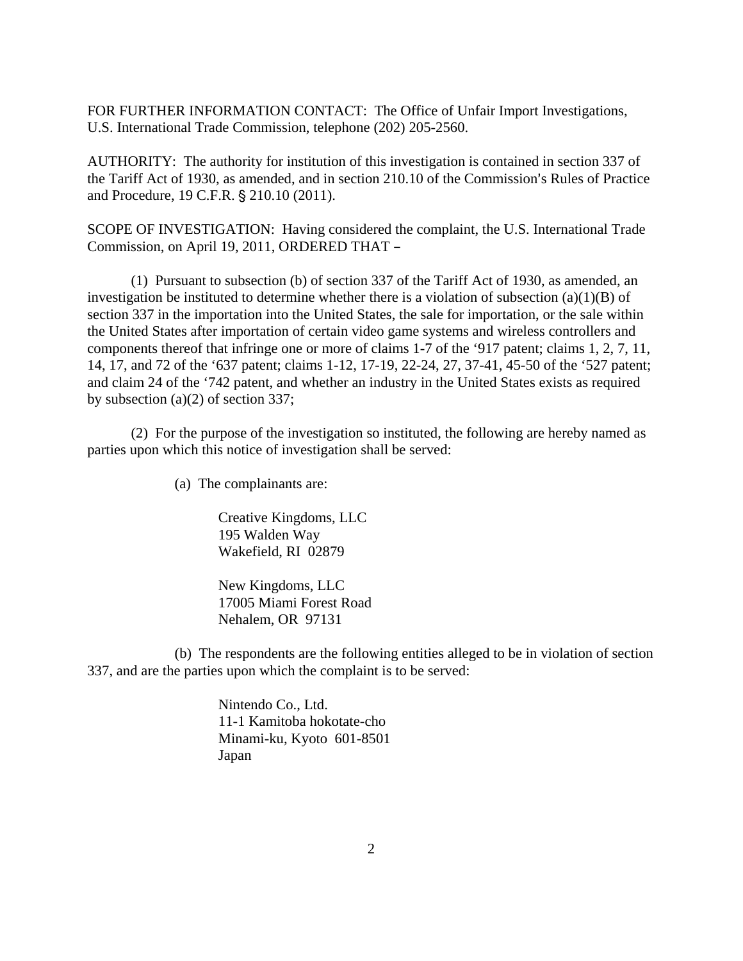FOR FURTHER INFORMATION CONTACT: The Office of Unfair Import Investigations, U.S. International Trade Commission, telephone (202) 205-2560.

AUTHORITY: The authority for institution of this investigation is contained in section 337 of the Tariff Act of 1930, as amended, and in section 210.10 of the Commission's Rules of Practice and Procedure, 19 C.F.R. § 210.10 (2011).

SCOPE OF INVESTIGATION: Having considered the complaint, the U.S. International Trade Commission, on April 19, 2011, ORDERED THAT -

(1) Pursuant to subsection (b) of section 337 of the Tariff Act of 1930, as amended, an investigation be instituted to determine whether there is a violation of subsection  $(a)(1)(B)$  of section 337 in the importation into the United States, the sale for importation, or the sale within the United States after importation of certain video game systems and wireless controllers and components thereof that infringe one or more of claims 1-7 of the '917 patent; claims 1, 2, 7, 11, 14, 17, and 72 of the '637 patent; claims 1-12, 17-19, 22-24, 27, 37-41, 45-50 of the '527 patent; and claim 24 of the '742 patent, and whether an industry in the United States exists as required by subsection (a)(2) of section 337;

(2) For the purpose of the investigation so instituted, the following are hereby named as parties upon which this notice of investigation shall be served:

(a) The complainants are:

Creative Kingdoms, LLC 195 Walden Way Wakefield, RI 02879

New Kingdoms, LLC 17005 Miami Forest Road Nehalem, OR 97131

(b) The respondents are the following entities alleged to be in violation of section 337, and are the parties upon which the complaint is to be served:

> Nintendo Co., Ltd. 11-1 Kamitoba hokotate-cho Minami-ku, Kyoto 601-8501 Japan